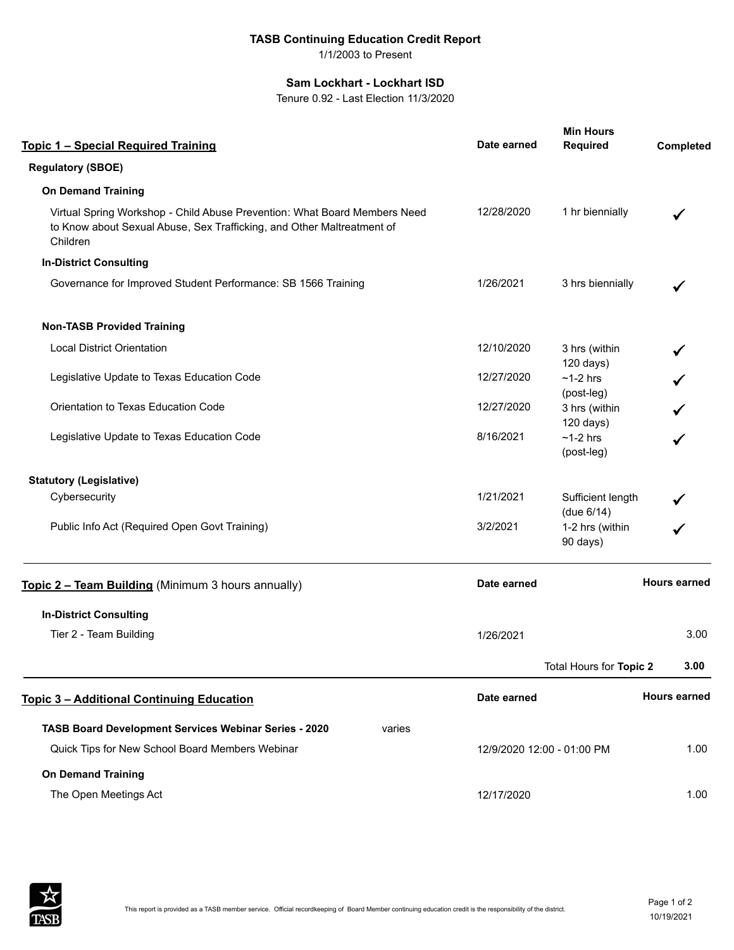## **TASB Continuing Education Credit Report**

1/1/2003 to Present

## **Sam Lockhart - Lockhart ISD**

Tenure 0.92 - Last Election 11/3/2020

| <b>Topic 1 - Special Required Training</b>                                                                                                                      |        | Date earned | <b>Min Hours</b><br><b>Required</b> | Completed           |
|-----------------------------------------------------------------------------------------------------------------------------------------------------------------|--------|-------------|-------------------------------------|---------------------|
| <b>Regulatory (SBOE)</b>                                                                                                                                        |        |             |                                     |                     |
| <b>On Demand Training</b>                                                                                                                                       |        |             |                                     |                     |
| Virtual Spring Workshop - Child Abuse Prevention: What Board Members Need<br>to Know about Sexual Abuse, Sex Trafficking, and Other Maltreatment of<br>Children |        | 12/28/2020  | 1 hr biennially                     |                     |
| <b>In-District Consulting</b>                                                                                                                                   |        |             |                                     |                     |
| Governance for Improved Student Performance: SB 1566 Training                                                                                                   |        | 1/26/2021   | 3 hrs biennially                    |                     |
| <b>Non-TASB Provided Training</b>                                                                                                                               |        |             |                                     |                     |
| <b>Local District Orientation</b>                                                                                                                               |        | 12/10/2020  | 3 hrs (within<br>120 days)          |                     |
| Legislative Update to Texas Education Code                                                                                                                      |        | 12/27/2020  | $~1$ -2 hrs<br>(post-leg)           |                     |
| Orientation to Texas Education Code                                                                                                                             |        | 12/27/2020  | 3 hrs (within<br>120 days)          |                     |
| Legislative Update to Texas Education Code                                                                                                                      |        | 8/16/2021   | $~1$ -2 hrs<br>(post-leg)           |                     |
| <b>Statutory (Legislative)</b>                                                                                                                                  |        |             |                                     |                     |
| Cybersecurity                                                                                                                                                   |        | 1/21/2021   | Sufficient length<br>(due 6/14)     |                     |
| Public Info Act (Required Open Govt Training)                                                                                                                   |        | 3/2/2021    | 1-2 hrs (within<br>90 days)         |                     |
| Topic 2 - Team Building (Minimum 3 hours annually)                                                                                                              |        | Date earned |                                     | <b>Hours earned</b> |
| <b>In-District Consulting</b>                                                                                                                                   |        |             |                                     |                     |
| Tier 2 - Team Building                                                                                                                                          |        | 1/26/2021   |                                     | 3.00                |
|                                                                                                                                                                 |        |             | Total Hours for Topic 2             | 3.00                |
| <b>Topic 3 - Additional Continuing Education</b>                                                                                                                |        | Date earned |                                     | <b>Hours earned</b> |
| TASB Board Development Services Webinar Series - 2020                                                                                                           | varies |             |                                     |                     |
| Quick Tips for New School Board Members Webinar                                                                                                                 |        |             | 1.00<br>12/9/2020 12:00 - 01:00 PM  |                     |
| <b>On Demand Training</b>                                                                                                                                       |        |             |                                     |                     |
| The Open Meetings Act                                                                                                                                           |        | 12/17/2020  |                                     | 1.00                |